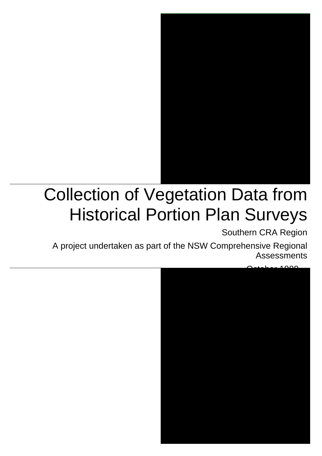

### Collection of Vegetation Data from Historical Portion Plan Surveys

Southern CRA Region

A project undertaken as part of the NSW Comprehensive Regional Assessments

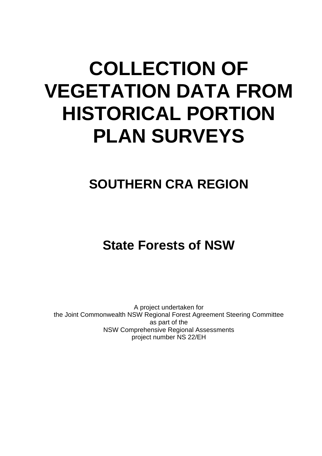### **COLLECTION OF VEGETATION DATA FROM HISTORICAL PORTION PLAN SURVEYS**

### **SOUTHERN CRA REGION**

### **State Forests of NSW**

A project undertaken for the Joint Commonwealth NSW Regional Forest Agreement Steering Committee as part of the NSW Comprehensive Regional Assessments project number NS 22/EH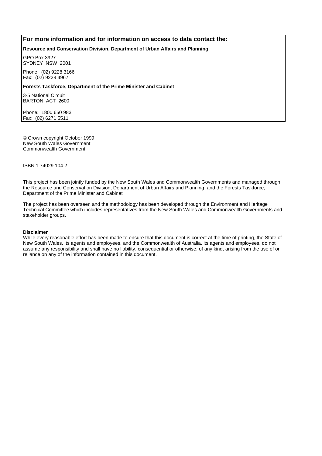#### **For more information and for information on access to data contact the:**

**Resource and Conservation Division, Department of Urban Affairs and Planning**

GPO Box 3927 SYDNEY NSW 2001

Phone: (02) 9228 3166 Fax: (02) 9228 4967

**Forests Taskforce, Department of the Prime Minister and Cabinet**

3-5 National Circuit BARTON ACT 2600

Phone**:** 1800 650 983 Fax: (02) 6271 5511

© Crown copyright October 1999 New South Wales Government Commonwealth Government

ISBN 1 74029 104 2

This project has been jointly funded by the New South Wales and Commonwealth Governments and managed through the Resource and Conservation Division, Department of Urban Affairs and Planning, and the Forests Taskforce, Department of the Prime Minister and Cabinet

The project has been overseen and the methodology has been developed through the Environment and Heritage Technical Committee which includes representatives from the New South Wales and Commonwealth Governments and stakeholder groups.

#### **Disclaimer**

While every reasonable effort has been made to ensure that this document is correct at the time of printing, the State of New South Wales, its agents and employees, and the Commonwealth of Australia, its agents and employees, do not assume any responsibility and shall have no liability, consequential or otherwise, of any kind, arising from the use of or reliance on any of the information contained in this document.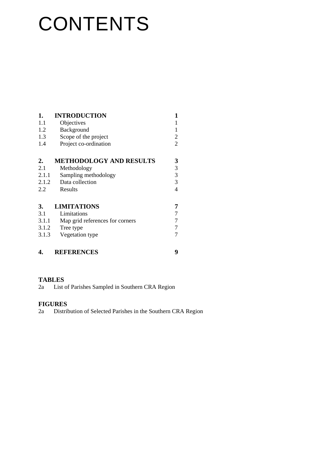## **CONTENTS**

| 1.    | <b>INTRODUCTION</b>             | 1 |
|-------|---------------------------------|---|
| 1.1   | Objectives                      | 1 |
| 1.2   | Background                      | 1 |
| 1.3   | Scope of the project            | 2 |
| 1.4   | Project co-ordination           | 2 |
| 2.    | <b>METHODOLOGY AND RESULTS</b>  | 3 |
| 2.1   | Methodology                     | 3 |
| 2.1.1 | Sampling methodology            | 3 |
| 2.1.2 | Data collection                 | 3 |
| 2.2   | Results                         | 4 |
| 3.    | <b>LIMITATIONS</b>              |   |
| 3.1   | Limitations                     |   |
| 3.1.1 | Map grid references for corners | 7 |
| 3.1.2 | Tree type                       | 7 |
| 3.1.3 | Vegetation type                 |   |
|       | <b>REFERENCES</b>               | 9 |

#### **TABLES**

2a List of Parishes Sampled in Southern CRA Region

#### **FIGURES**

2a Distribution of Selected Parishes in the Southern CRA Region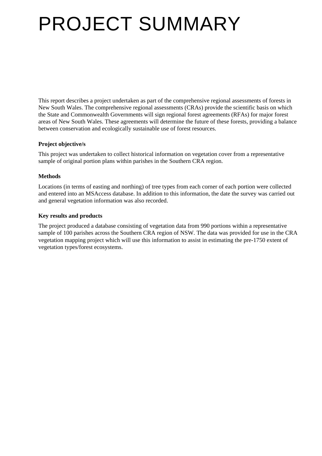# PROJECT SUMMARY

This report describes a project undertaken as part of the comprehensive regional assessments of forests in New South Wales. The comprehensive regional assessments (CRAs) provide the scientific basis on which the State and Commonwealth Governments will sign regional forest agreements (RFAs) for major forest areas of New South Wales. These agreements will determine the future of these forests, providing a balance between conservation and ecologically sustainable use of forest resources.

#### **Project objective/s**

This project was undertaken to collect historical information on vegetation cover from a representative sample of original portion plans within parishes in the Southern CRA region.

#### **Methods**

Locations (in terms of easting and northing) of tree types from each corner of each portion were collected and entered into an MSAccess database. In addition to this information, the date the survey was carried out and general vegetation information was also recorded.

#### **Key results and products**

The project produced a database consisting of vegetation data from 990 portions within a representative sample of 100 parishes across the Southern CRA region of NSW. The data was provided for use in the CRA vegetation mapping project which will use this information to assist in estimating the pre-1750 extent of vegetation types/forest ecosystems.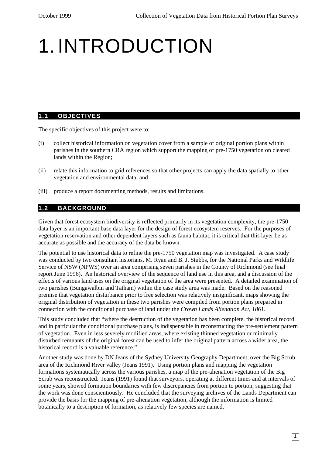## 1.INTRODUCTION

#### **1.1 OBJECTIVES**

The specific objectives of this project were to:

- (i) collect historical information on vegetation cover from a sample of original portion plans within parishes in the southern CRA region which support the mapping of pre-1750 vegetation on cleared lands within the Region;
- (ii) relate this information to grid references so that other projects can apply the data spatially to other vegetation and environmental data; and
- (iii) produce a report documenting methods, results and limitations.

#### **1.2 BACKGROUND**

Given that forest ecosystem biodiversity is reflected primarily in its vegetation complexity, the pre-1750 data layer is an important base data layer for the design of forest ecosystem reserves. For the purposes of vegetation reservation and other dependent layers such as fauna habitat, it is critical that this layer be as accurate as possible and the accuracy of the data be known.

The potential to use historical data to refine the pre-1750 vegetation map was investigated. A case study was conducted by two consultant historians, M. Ryan and B. J. Stubbs, for the National Parks and Wildlife Service of NSW (NPWS) over an area comprising seven parishes in the County of Richmond (see final report June 1996). An historical overview of the sequence of land use in this area, and a discussion of the effects of various land uses on the original vegetation of the area were presented. A detailed examination of two parishes (Bungawalbin and Tatham) within the case study area was made. Based on the reasoned premise that vegetation disturbance prior to free selection was relatively insignificant, maps showing the original distribution of vegetation in these two parishes were compiled from portion plans prepared in connection with the conditional purchase of land under the *Crown Lands Alienation Act, 1861*.

This study concluded that "where the destruction of the vegetation has been complete, the historical record, and in particular the conditional purchase plans, is indispensable in reconstructing the pre-settlement pattern of vegetation. Even in less severely modified areas, where existing thinned vegetation or minimally disturbed remnants of the original forest can be used to infer the original pattern across a wider area, the historical record is a valuable reference."

Another study was done by DN Jeans of the Sydney University Geography Department, over the Big Scrub area of the Richmond River valley (Jeans 1991). Using portion plans and mapping the vegetation formations systematically across the various parishes, a map of the pre-alienation vegetation of the Big Scrub was reconstructed. Jeans (1991) found that surveyors, operating at different times and at intervals of some years, showed formation boundaries with few discrepancies from portion to portion, suggesting that the work was done conscientiously. He concluded that the surveying archives of the Lands Department can provide the basis for the mapping of pre-alienation vegetation, although the information is limited botanically to a description of formation, as relatively few species are named.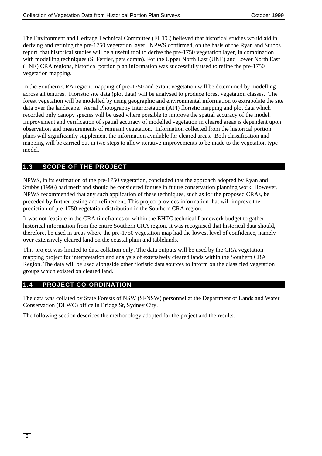The Environment and Heritage Technical Committee (EHTC) believed that historical studies would aid in deriving and refining the pre-1750 vegetation layer. NPWS confirmed, on the basis of the Ryan and Stubbs report, that historical studies will be a useful tool to derive the pre-1750 vegetation layer, in combination with modelling techniques (S. Ferrier, pers comm). For the Upper North East (UNE) and Lower North East (LNE) CRA regions, historical portion plan information was successfully used to refine the pre-1750 vegetation mapping.

In the Southern CRA region, mapping of pre-1750 and extant vegetation will be determined by modelling across all tenures. Floristic site data (plot data) will be analysed to produce forest vegetation classes. The forest vegetation will be modelled by using geographic and environmental information to extrapolate the site data over the landscape. Aerial Photography Interpretation (API) floristic mapping and plot data which recorded only canopy species will be used where possible to improve the spatial accuracy of the model. Improvement and verification of spatial accuracy of modelled vegetation in cleared areas is dependent upon observation and measurements of remnant vegetation. Information collected from the historical portion plans will significantly supplement the information available for cleared areas. Both classification and mapping will be carried out in two steps to allow iterative improvements to be made to the vegetation type model.

#### **1.3 SCOPE OF THE PROJECT**

NPWS, in its estimation of the pre-1750 vegetation, concluded that the approach adopted by Ryan and Stubbs (1996) had merit and should be considered for use in future conservation planning work. However, NPWS recommended that any such application of these techniques, such as for the proposed CRAs, be preceded by further testing and refinement. This project provides information that will improve the prediction of pre-1750 vegetation distribution in the Southern CRA region.

It was not feasible in the CRA timeframes or within the EHTC technical framework budget to gather historical information from the entire Southern CRA region. It was recognised that historical data should, therefore, be used in areas where the pre-1750 vegetation map had the lowest level of confidence, namely over extensively cleared land on the coastal plain and tablelands.

This project was limited to data collation only. The data outputs will be used by the CRA vegetation mapping project for interpretation and analysis of extensively cleared lands within the Southern CRA Region. The data will be used alongside other floristic data sources to inform on the classified vegetation groups which existed on cleared land.

#### **1.4 PROJECT CO-ORDINATION**

The data was collated by State Forests of NSW (SFNSW) personnel at the Department of Lands and Water Conservation (DLWC) office in Bridge St, Sydney City.

The following section describes the methodology adopted for the project and the results.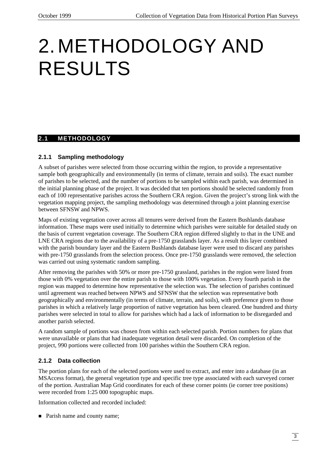### 2.METHODOLOGY AND RESULTS

#### **2.1 METHODOLOGY**

#### **2.1.1 Sampling methodology**

A subset of parishes were selected from those occurring within the region, to provide a representative sample both geographically and environmentally (in terms of climate, terrain and soils). The exact number of parishes to be selected, and the number of portions to be sampled within each parish, was determined in the initial planning phase of the project. It was decided that ten portions should be selected randomly from each of 100 representative parishes across the Southern CRA region. Given the project's strong link with the vegetation mapping project, the sampling methodology was determined through a joint planning exercise between SFNSW and NPWS.

Maps of existing vegetation cover across all tenures were derived from the Eastern Bushlands database information. These maps were used initially to determine which parishes were suitable for detailed study on the basis of current vegetation coverage. The Southern CRA region differed slightly to that in the UNE and LNE CRA regions due to the availability of a pre-1750 grasslands layer. As a result this layer combined with the parish boundary layer and the Eastern Bushlands database layer were used to discard any parishes with pre-1750 grasslands from the selection process. Once pre-1750 grasslands were removed, the selection was carried out using systematic random sampling.

After removing the parishes with 50% or more pre-1750 grassland, parishes in the region were listed from those with 0% vegetation over the entire parish to those with 100% vegetation. Every fourth parish in the region was mapped to determine how representative the selection was. The selection of parishes continued until agreement was reached between NPWS and SFNSW that the selection was representative both geographically and environmentally (in terms of climate, terrain, and soils), with preference given to those parishes in which a relatively large proportion of native vegetation has been cleared. One hundred and thirty parishes were selected in total to allow for parishes which had a lack of information to be disregarded and another parish selected.

A random sample of portions was chosen from within each selected parish. Portion numbers for plans that were unavailable or plans that had inadequate vegetation detail were discarded. On completion of the project, 990 portions were collected from 100 parishes within the Southern CRA region.

#### **2.1.2 Data collection**

The portion plans for each of the selected portions were used to extract, and enter into a database (in an MSAccess format), the general vegetation type and specific tree type associated with each surveyed corner of the portion. Australian Map Grid coordinates for each of these corner points (ie corner tree positions) were recorded from 1:25 000 topographic maps.

Information collected and recorded included:

• Parish name and county name;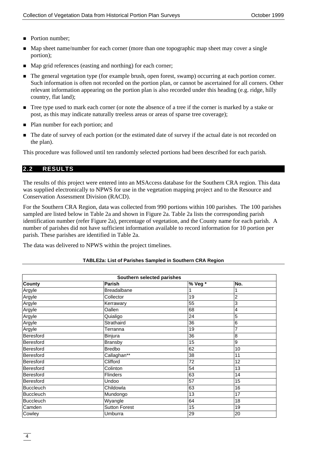- Portion number:
- n Map sheet name/number for each corner (more than one topographic map sheet may cover a single portion);
- Map grid references (easting and northing) for each corner;
- n The general vegetation type (for example brush, open forest, swamp) occurring at each portion corner. Such information is often not recorded on the portion plan, or cannot be ascertained for all corners. Other relevant information appearing on the portion plan is also recorded under this heading (e.g. ridge, hilly country, flat land);
- Tree type used to mark each corner (or note the absence of a tree if the corner is marked by a stake or post, as this may indicate naturally treeless areas or areas of sparse tree coverage);
- Plan number for each portion; and
- The date of survey of each portion (or the estimated date of survey if the actual date is not recorded on the plan).

This procedure was followed until ten randomly selected portions had been described for each parish.

#### **2.2 RESULTS**

The results of this project were entered into an MSAccess database for the Southern CRA region. This data was supplied electronically to NPWS for use in the vegetation mapping project and to the Resource and Conservation Assessment Division (RACD).

For the Southern CRA Region, data was collected from 990 portions within 100 parishes. The 100 parishes sampled are listed below in Table 2a and shown in Figure 2a. Table 2a lists the corresponding parish identification number (refer Figure 2a), percentage of vegetation, and the County name for each parish. A number of parishes did not have sufficient information available to record information for 10 portion per parish. These parishes are identified in Table 2a.

The data was delivered to NPWS within the project timelines.

| Southern selected parishes |                    |                 |                |  |  |  |
|----------------------------|--------------------|-----------------|----------------|--|--|--|
| <b>County</b>              | Parish             | % Veg *         | No.            |  |  |  |
| Argyle                     | <b>Breadalbane</b> |                 |                |  |  |  |
| Argyle                     | Collector          | 19              | 2              |  |  |  |
| Argyle                     | Kerrawary          | 55              | $\overline{3}$ |  |  |  |
| Argyle                     | Oallen             | 68              | 4              |  |  |  |
| Argyle                     | Quialigo           | $\overline{24}$ | 5              |  |  |  |
| Argyle                     | Strathaird         | 36              | 6              |  |  |  |
| Argyle                     | Terranna           | 19              | 7              |  |  |  |
| Beresford                  | Binjura            | $\overline{36}$ | 8              |  |  |  |
| Beresford                  | <b>Bransby</b>     | 15              | 9              |  |  |  |
| Beresford                  | <b>Bredbo</b>      | 62              | 10             |  |  |  |
| Beresford                  | Callaghan**        | $\overline{38}$ | 11             |  |  |  |
| Beresford                  | Clifford           | 72              | 12             |  |  |  |
| Beresford                  | Colinton           | 54              | 13             |  |  |  |
| Beresford                  | <b>Flinders</b>    | 63              | 14             |  |  |  |
| Beresford                  | Undoo              | 57              | 15             |  |  |  |
| <b>Buccleuch</b>           | Childowla          | 63              | 16             |  |  |  |
| <b>Buccleuch</b>           | Mundongo           | 13              | 17             |  |  |  |
| <b>Buccleuch</b>           | Wyangle            | 64              | 18             |  |  |  |
| Camden                     | Sutton Forest      | 15              | 19             |  |  |  |
| Cowley                     | Umburra            | 29              | 20             |  |  |  |

#### **TABLE2a: List of Parishes Sampled in Southern CRA Region**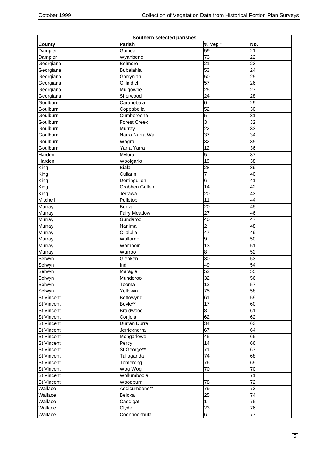|                   | Southern selected parishes |                 |                 |
|-------------------|----------------------------|-----------------|-----------------|
| <b>County</b>     | Parish                     | % Veg*          | No.             |
| Dampier           | Guinea                     | 59              | 21              |
| Dampier           | Wyanbene                   | 73              | 22              |
| Georgiana         | Belmore                    | $\overline{21}$ | 23              |
| Georgiana         | Bubalahla                  | $\overline{53}$ | 24              |
| Georgiana         | Garrynian                  | 50              | 25              |
| Georgiana         | Gillindich                 | $\overline{57}$ | 26              |
| Georgiana         | Mulgowrie                  | 25              | $\overline{27}$ |
| Georgiana         | Sherwood                   | 24              | 28              |
| Goulburn          | Carabobala                 | 0               | 29              |
| Goulburn          | Coppabella                 | 52              | 30              |
| Goulburn          | Cumboroona                 | 5               | 31              |
| Goulburn          | <b>Forest Creek</b>        | 3               | $\overline{32}$ |
| Goulburn          | Murray                     | $\overline{22}$ | 33              |
| Goulburn          | Narra Narra Wa             | $\overline{37}$ | 34              |
| Goulburn          | Wagra                      | $\overline{32}$ | 35              |
| Goulburn          | Yarra Yarra                | $\overline{12}$ | 36              |
| Harden            | Mylora                     | 5               | 37              |
|                   | Woolgarlo                  | 19              |                 |
| Harden            |                            |                 | 38              |
| King              | <b>Biala</b>               | 28              | 39              |
| King              | Cullarin                   | 7               | 40              |
| King              | Derringullen               | 6               | 41              |
| King              | Grabben Gullen             | 14              | 42              |
| King              | Jerrawa                    | 20              | 43              |
| Mitchell          | Pulletop                   | $\overline{11}$ | 44              |
| Murray            | <b>Burra</b>               | 20              | 45              |
| Murray            | <b>Fairy Meadow</b>        | $\overline{27}$ | 46              |
| Murray            | Gundaroo                   | 40              | $\overline{47}$ |
| Murray            | Nanima                     | 2               | 48              |
| Murray            | Ollalulla                  | $\overline{47}$ | 49              |
| Murray            | Wallaroo                   | 9               | 50              |
| Murray            | Wamboin                    | $\overline{13}$ | 51              |
| Murray            | Warroo                     | 8               | $\overline{52}$ |
| Selwyn            | Glenken                    | 30              | 53              |
| Selwyn            | Indi                       | 49              | $\overline{54}$ |
| Selwyn            | Maragle                    | 52              | 55              |
| Selwyn            | Munderoo                   | 32              | 56              |
| Selwyn            | Tooma                      | $\overline{12}$ | $\overline{57}$ |
| Selwyn            | Yellowin                   | $\overline{75}$ | 58              |
| <b>St Vincent</b> | Bettowynd                  | 61              | 59              |
| <b>St Vincent</b> | Boyle**                    | 17              | 60              |
| <b>St Vincent</b> | <b>Braidwood</b>           | $\bf{8}$        | 61              |
| <b>St Vincent</b> | Conjola                    | 62              | 62              |
| <b>St Vincent</b> | Durran Durra               | $\overline{34}$ | 63              |
| <b>St Vincent</b> | Jerricknorra               | 67              | 64              |
| <b>St Vincent</b> | Mongarlowe                 | $\overline{45}$ | 65              |
| <b>St Vincent</b> |                            | 14              | 66              |
| <b>St Vincent</b> | Percy<br>St George**       | $\overline{71}$ | 67              |
|                   |                            | $\overline{74}$ |                 |
| <b>St Vincent</b> | Tallaganda                 |                 | 68              |
| <b>St Vincent</b> | Tomerong                   | $\overline{76}$ | 69              |
| <b>St Vincent</b> | Wog Wog                    | $\overline{70}$ | 70              |
| <b>St Vincent</b> | Wollumboola                |                 | $\overline{71}$ |
| <b>St Vincent</b> | Woodburn                   | 78              | $\overline{72}$ |
| Wallace           | Addicumbene**              | 79              | $\overline{73}$ |
| Wallace           | Beloka                     | $\overline{25}$ | $\overline{74}$ |
| Wallace           | Caddigat                   | $\mathbf{1}$    | $\overline{75}$ |
| Wallace           | Clyde                      | $\overline{23}$ | $\overline{76}$ |
| Wallace           | Coonhoonbula               | $6\overline{6}$ | $\overline{77}$ |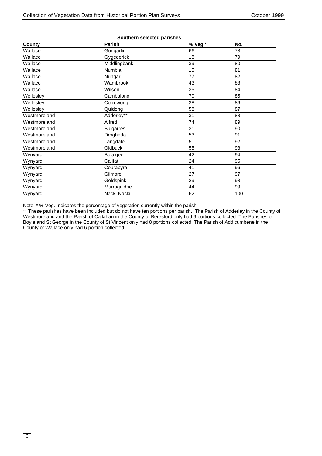| Southern selected parishes |                  |                 |     |  |  |  |
|----------------------------|------------------|-----------------|-----|--|--|--|
| <b>County</b>              | Parish           | % Veg *         | No. |  |  |  |
| Wallace                    | Gungarlin        | 66              | 78  |  |  |  |
| Wallace                    | Gygederick       | 18              | 79  |  |  |  |
| Wallace                    | Middlingbank     | 39              | 80  |  |  |  |
| Wallace                    | Numbla           | 15              | 81  |  |  |  |
| Wallace                    | Nungar           | $\overline{77}$ | 82  |  |  |  |
| Wallace                    | Wambrook         | 43              | 83  |  |  |  |
| Wallace                    | Wilson           | 35              | 84  |  |  |  |
| Wellesley                  | Cambalong        | 70              | 85  |  |  |  |
| Wellesley                  | Corrowong        | 38              | 86  |  |  |  |
| Wellesley                  | Quidong          | 58              | 87  |  |  |  |
| Westmoreland               | Adderley**       | 31              | 88  |  |  |  |
| Westmoreland               | Alfred           | $\overline{74}$ | 89  |  |  |  |
| Westmoreland               | <b>Bulgarres</b> | 31              | 90  |  |  |  |
| Westmoreland               | Drogheda         | 53              | 91  |  |  |  |
| Westmoreland               | Langdale         | 5               | 92  |  |  |  |
| Westmoreland               | Oldbuck          | 55              | 93  |  |  |  |
| Wynyard                    | <b>Bulalgee</b>  | 42              | 94  |  |  |  |
| Wynyard                    | Califat          | 24              | 95  |  |  |  |
| Wynyard                    | Courabyra        | 41              | 96  |  |  |  |
| Wynyard                    | Gilmore          | 27              | 97  |  |  |  |
| Wynyard                    | Goldspink        | 29              | 98  |  |  |  |
| Wynyard                    | Murraguldrie     | 44              | 99  |  |  |  |
| Wynyard                    | Nacki Nacki      | 62              | 100 |  |  |  |

Note: \* % Veg. Indicates the percentage of vegetation currently within the parish.

\*\* These parishes have been included but do not have ten portions per parish. The Parish of Adderley in the County of Westmoreland and the Parish of Callahan in the County of Beresford only had 9 portions collected. The Parishes of Boyle and St George in the County of St Vincent only had 8 portions collected. The Parish of Addicumbene in the County of Wallace only had 6 portion collected.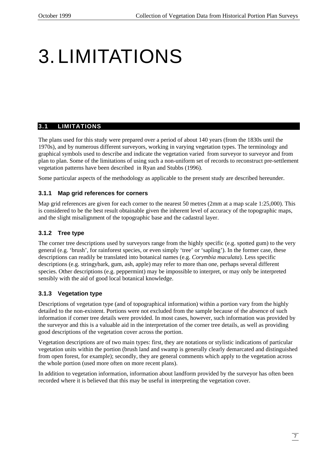# 3.LIMITATIONS

#### **3.1 LIMITATIONS**

The plans used for this study were prepared over a period of about 140 years (from the 1830s until the 1970s), and by numerous different surveyors, working in varying vegetation types. The terminology and graphical symbols used to describe and indicate the vegetation varied from surveyor to surveyor and from plan to plan. Some of the limitations of using such a non-uniform set of records to reconstruct pre-settlement vegetation patterns have been described in Ryan and Stubbs (1996).

Some particular aspects of the methodology as applicable to the present study are described hereunder.

#### **3.1.1 Map grid references for corners**

Map grid references are given for each corner to the nearest 50 metres (2mm at a map scale 1:25,000). This is considered to be the best result obtainable given the inherent level of accuracy of the topographic maps, and the slight misalignment of the topographic base and the cadastral layer.

#### **3.1.2 Tree type**

The corner tree descriptions used by surveyors range from the highly specific (e.g. spotted gum) to the very general (e.g. 'brush', for rainforest species, or even simply 'tree' or 'sapling'). In the former case, these descriptions can readily be translated into botanical names (e.g. *Corymbia maculata*). Less specific descriptions (e.g. stringybark, gum, ash, apple) may refer to more than one, perhaps several different species. Other descriptions (e.g. peppermint) may be impossible to interpret, or may only be interpreted sensibly with the aid of good local botanical knowledge.

#### **3.1.3 Vegetation type**

Descriptions of vegetation type (and of topographical information) within a portion vary from the highly detailed to the non-existent. Portions were not excluded from the sample because of the absence of such information if corner tree details were provided. In most cases, however, such information was provided by the surveyor and this is a valuable aid in the interpretation of the corner tree details, as well as providing good descriptions of the vegetation cover across the portion.

Vegetation descriptions are of two main types: first, they are notations or stylistic indications of particular vegetation units within the portion (brush land and swamp is generally clearly demarcated and distinguished from open forest, for example); secondly, they are general comments which apply to the vegetation across the whole portion (used more often on more recent plans).

In addition to vegetation information, information about landform provided by the surveyor has often been recorded where it is believed that this may be useful in interpreting the vegetation cover.